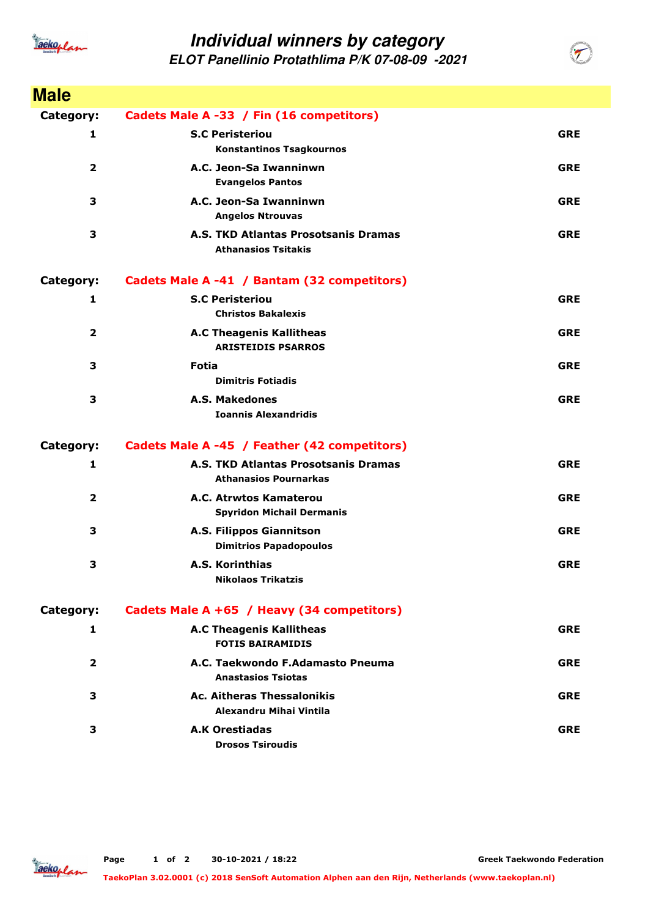

## **Individual winners by category**

**ELOT Panellinio Protathlima P/K 07-08-09 -2021**

| <b>Male</b>    |                                                                           |            |
|----------------|---------------------------------------------------------------------------|------------|
| Category:      | Cadets Male A -33 / Fin (16 competitors)                                  |            |
| 1              | <b>S.C Peristeriou</b><br><b>Konstantinos Tsagkournos</b>                 | <b>GRE</b> |
| $\overline{2}$ | A.C. Jeon-Sa Iwanninwn<br><b>Evangelos Pantos</b>                         | <b>GRE</b> |
| 3              | A.C. Jeon-Sa Iwanninwn<br><b>Angelos Ntrouvas</b>                         | <b>GRE</b> |
| 3              | <b>A.S. TKD Atlantas Prosotsanis Dramas</b><br><b>Athanasios Tsitakis</b> | <b>GRE</b> |
| Category:      | Cadets Male A -41 / Bantam (32 competitors)                               |            |
| 1              | <b>S.C Peristeriou</b><br><b>Christos Bakalexis</b>                       | <b>GRE</b> |
| $\overline{2}$ | <b>A.C Theagenis Kallitheas</b><br><b>ARISTEIDIS PSARROS</b>              | <b>GRE</b> |
| 3              | Fotia<br><b>Dimitris Fotiadis</b>                                         | <b>GRE</b> |
| 3              | A.S. Makedones<br><b>Ioannis Alexandridis</b>                             | <b>GRE</b> |
| Category:      | Cadets Male A -45 / Feather (42 competitors)                              |            |
| 1              | A.S. TKD Atlantas Prosotsanis Dramas<br><b>Athanasios Pournarkas</b>      | <b>GRE</b> |
| $\overline{2}$ | A.C. Atrwtos Kamaterou<br><b>Spyridon Michail Dermanis</b>                | <b>GRE</b> |
| З              | A.S. Filippos Giannitson<br><b>Dimitrios Papadopoulos</b>                 | <b>GRE</b> |
| 3              | <b>A.S. Korinthias</b><br><b>Nikolaos Trikatzis</b>                       | <b>GRE</b> |
| Category:      | Cadets Male A +65 / Heavy (34 competitors)                                |            |
| 1              | <b>A.C Theagenis Kallitheas</b><br><b>FOTIS BAIRAMIDIS</b>                | <b>GRE</b> |
| $\mathbf{2}$   | A.C. Taekwondo F.Adamasto Pneuma<br><b>Anastasios Tsiotas</b>             | <b>GRE</b> |
| З              | <b>Ac. Aitheras Thessalonikis</b><br>Alexandru Mihai Vintila              | <b>GRE</b> |
| 3              | <b>A.K Orestiadas</b><br><b>Drosos Tsiroudis</b>                          | <b>GRE</b> |